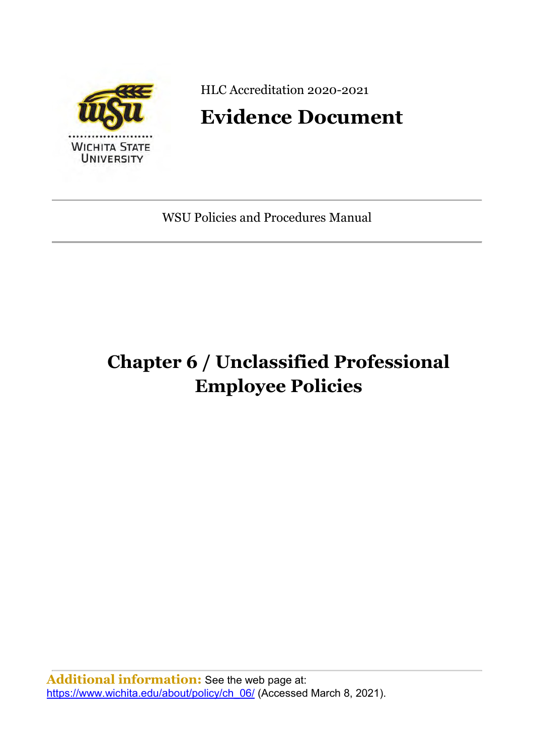

HLC Accreditation 2020-2021

# **Evidence Document**

WSU Policies and Procedures Manual

# **Chapter 6 / Unclassified Professional Employee Policies**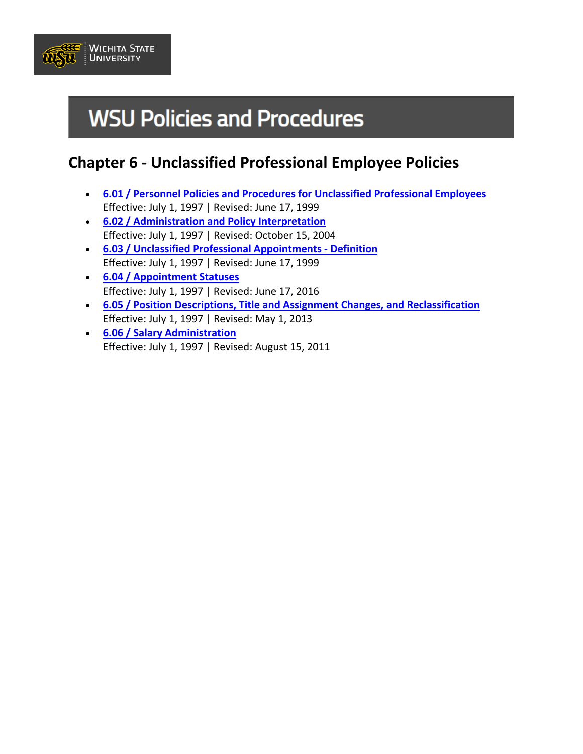

# **WSU Policies and Procedures**

# **Chapter 6 - Unclassified Professional Employee Policies**

- **[6.01 / Personnel Policies and Procedures for Unclassified Professional Employees](https://www.wichita.edu/about/policy/ch_06/ch6_01.php)** Effective: July 1, 1997 | Revised: June 17, 1999
- **[6.02 / Administration and Policy Interpretation](https://www.wichita.edu/about/policy/ch_06/ch6_02.php)** Effective: July 1, 1997 | Revised: October 15, 2004
- **[6.03 / Unclassified Professional Appointments Definition](https://www.wichita.edu/about/policy/ch_06/ch6_03.php)** Effective: July 1, 1997 | Revised: June 17, 1999
- **[6.04 / Appointment Statuses](https://www.wichita.edu/about/policy/ch_06/ch6_04.php)** Effective: July 1, 1997 | Revised: June 17, 2016
- **[6.05 / Position Descriptions, Title and Assignment Changes, and Reclassification](https://www.wichita.edu/about/policy/ch_06/ch6_05.php)** Effective: July 1, 1997 | Revised: May 1, 2013
- **[6.06 / Salary Administration](https://www.wichita.edu/about/policy/ch_06/ch6_06.php)** Effective: July 1, 1997 | Revised: August 15, 2011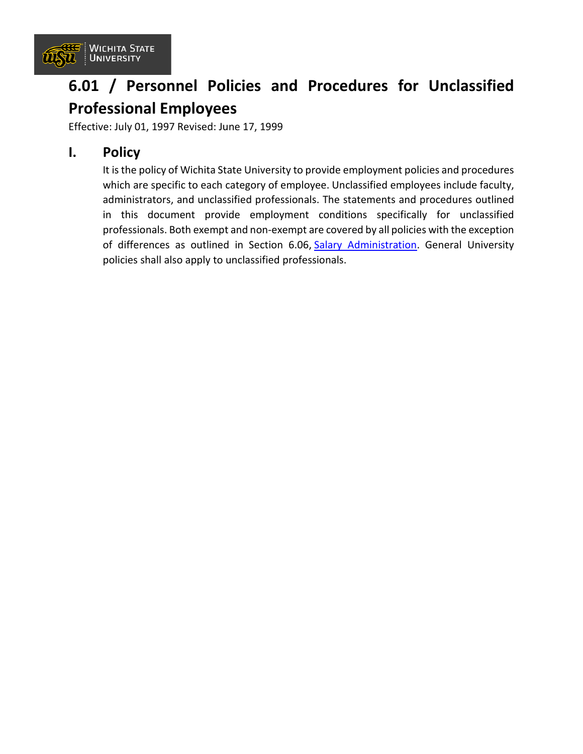

# **6.01 / Personnel Policies and Procedures for Unclassified Professional Employees**

Effective: July 01, 1997 Revised: June 17, 1999

### **I. Policy**

It is the policy of Wichita State University to provide employment policies and procedures which are specific to each category of employee. Unclassified employees include faculty, administrators, and unclassified professionals. The statements and procedures outlined in this document provide employment conditions specifically for unclassified professionals. Both exempt and non-exempt are covered by all policies with the exception of differences as outlined in Section 6.06, [Salary Administration.](https://www.wichita.edu/about/policy/ch_06/ch6_06.php) General University policies shall also apply to unclassified professionals.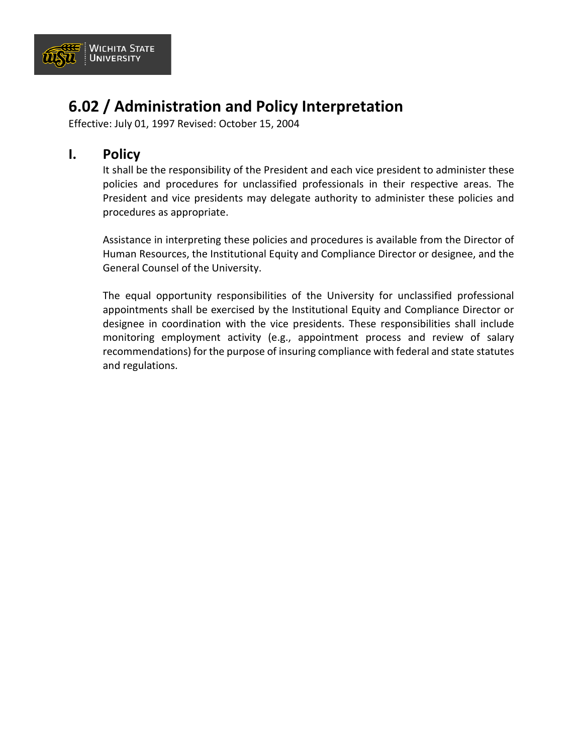

# **6.02 / Administration and Policy Interpretation**

Effective: July 01, 1997 Revised: October 15, 2004

### **I. Policy**

It shall be the responsibility of the President and each vice president to administer these policies and procedures for unclassified professionals in their respective areas. The President and vice presidents may delegate authority to administer these policies and procedures as appropriate.

Assistance in interpreting these policies and procedures is available from the Director of Human Resources, the Institutional Equity and Compliance Director or designee, and the General Counsel of the University.

The equal opportunity responsibilities of the University for unclassified professional appointments shall be exercised by the Institutional Equity and Compliance Director or designee in coordination with the vice presidents. These responsibilities shall include monitoring employment activity (e.g., appointment process and review of salary recommendations) for the purpose of insuring compliance with federal and state statutes and regulations.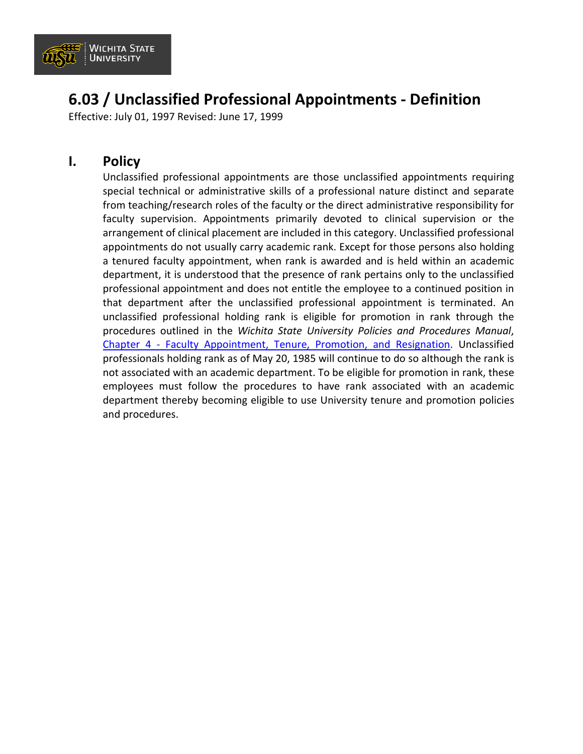

## **6.03 / Unclassified Professional Appointments - Definition**

Effective: July 01, 1997 Revised: June 17, 1999

### **I. Policy**

Unclassified professional appointments are those unclassified appointments requiring special technical or administrative skills of a professional nature distinct and separate from teaching/research roles of the faculty or the direct administrative responsibility for faculty supervision. Appointments primarily devoted to clinical supervision or the arrangement of clinical placement are included in this category. Unclassified professional appointments do not usually carry academic rank. Except for those persons also holding a tenured faculty appointment, when rank is awarded and is held within an academic department, it is understood that the presence of rank pertains only to the unclassified professional appointment and does not entitle the employee to a continued position in that department after the unclassified professional appointment is terminated. An unclassified professional holding rank is eligible for promotion in rank through the procedures outlined in the *Wichita State University Policies and Procedures Manual*, Chapter 4 - [Faculty Appointment, Tenure, Promotion, and Resignation.](https://www.wichita.edu/about/policy/ch_4.htm) Unclassified professionals holding rank as of May 20, 1985 will continue to do so although the rank is not associated with an academic department. To be eligible for promotion in rank, these employees must follow the procedures to have rank associated with an academic department thereby becoming eligible to use University tenure and promotion policies and procedures.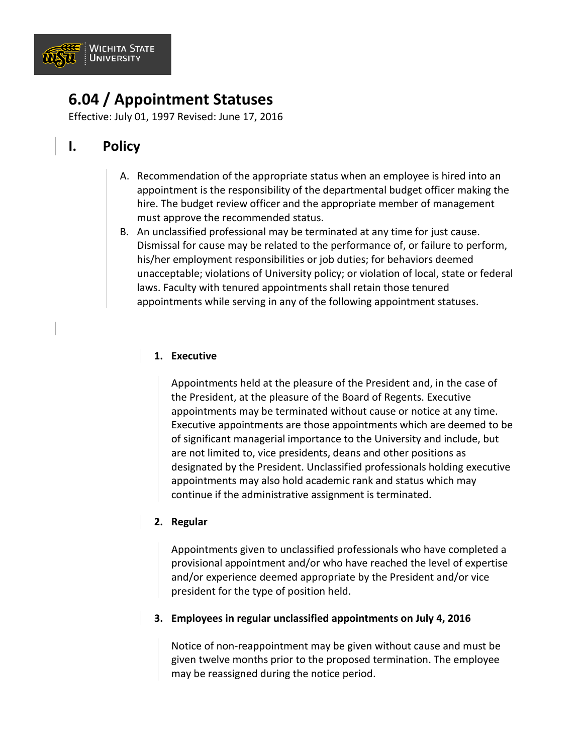

## **6.04 / Appointment Statuses**

Effective: July 01, 1997 Revised: June 17, 2016

### **I. Policy**

- A. Recommendation of the appropriate status when an employee is hired into an appointment is the responsibility of the departmental budget officer making the hire. The budget review officer and the appropriate member of management must approve the recommended status.
- B. An unclassified professional may be terminated at any time for just cause. Dismissal for cause may be related to the performance of, or failure to perform, his/her employment responsibilities or job duties; for behaviors deemed unacceptable; violations of University policy; or violation of local, state or federal laws. Faculty with tenured appointments shall retain those tenured appointments while serving in any of the following appointment statuses.

#### **1. Executive**

Appointments held at the pleasure of the President and, in the case of the President, at the pleasure of the Board of Regents. Executive appointments may be terminated without cause or notice at any time. Executive appointments are those appointments which are deemed to be of significant managerial importance to the University and include, but are not limited to, vice presidents, deans and other positions as designated by the President. Unclassified professionals holding executive appointments may also hold academic rank and status which may continue if the administrative assignment is terminated.

#### **2. Regular**

Appointments given to unclassified professionals who have completed a provisional appointment and/or who have reached the level of expertise and/or experience deemed appropriate by the President and/or vice president for the type of position held.

#### **3. Employees in regular unclassified appointments on July 4, 2016**

Notice of non-reappointment may be given without cause and must be given twelve months prior to the proposed termination. The employee may be reassigned during the notice period.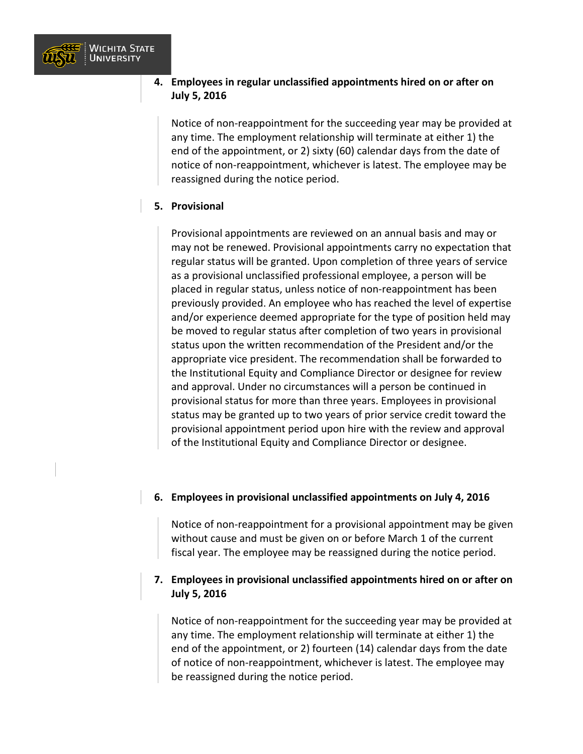

#### **4. Employees in regular unclassified appointments hired on or after on July 5, 2016**

Notice of non-reappointment for the succeeding year may be provided at any time. The employment relationship will terminate at either 1) the end of the appointment, or 2) sixty (60) calendar days from the date of notice of non-reappointment, whichever is latest. The employee may be reassigned during the notice period.

#### **5. Provisional**

Provisional appointments are reviewed on an annual basis and may or may not be renewed. Provisional appointments carry no expectation that regular status will be granted. Upon completion of three years of service as a provisional unclassified professional employee, a person will be placed in regular status, unless notice of non-reappointment has been previously provided. An employee who has reached the level of expertise and/or experience deemed appropriate for the type of position held may be moved to regular status after completion of two years in provisional status upon the written recommendation of the President and/or the appropriate vice president. The recommendation shall be forwarded to the Institutional Equity and Compliance Director or designee for review and approval. Under no circumstances will a person be continued in provisional status for more than three years. Employees in provisional status may be granted up to two years of prior service credit toward the provisional appointment period upon hire with the review and approval of the Institutional Equity and Compliance Director or designee.

#### **6. Employees in provisional unclassified appointments on July 4, 2016**

Notice of non-reappointment for a provisional appointment may be given without cause and must be given on or before March 1 of the current fiscal year. The employee may be reassigned during the notice period.

#### **7. Employees in provisional unclassified appointments hired on or after on July 5, 2016**

Notice of non-reappointment for the succeeding year may be provided at any time. The employment relationship will terminate at either 1) the end of the appointment, or 2) fourteen (14) calendar days from the date of notice of non-reappointment, whichever is latest. The employee may be reassigned during the notice period.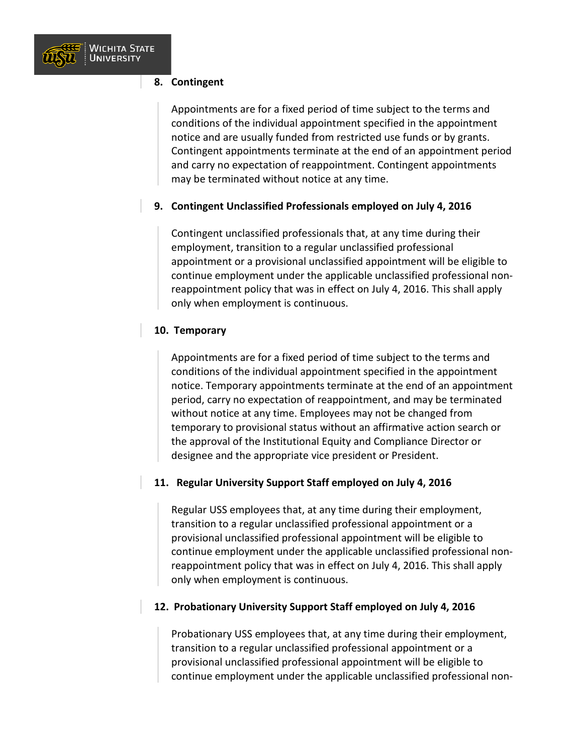

#### **8. Contingent**

Appointments are for a fixed period of time subject to the terms and conditions of the individual appointment specified in the appointment notice and are usually funded from restricted use funds or by grants. Contingent appointments terminate at the end of an appointment period and carry no expectation of reappointment. Contingent appointments may be terminated without notice at any time.

#### **9. Contingent Unclassified Professionals employed on July 4, 2016**

Contingent unclassified professionals that, at any time during their employment, transition to a regular unclassified professional appointment or a provisional unclassified appointment will be eligible to continue employment under the applicable unclassified professional nonreappointment policy that was in effect on July 4, 2016. This shall apply only when employment is continuous.

#### **10. Temporary**

Appointments are for a fixed period of time subject to the terms and conditions of the individual appointment specified in the appointment notice. Temporary appointments terminate at the end of an appointment period, carry no expectation of reappointment, and may be terminated without notice at any time. Employees may not be changed from temporary to provisional status without an affirmative action search or the approval of the Institutional Equity and Compliance Director or designee and the appropriate vice president or President.

#### **11. Regular University Support Staff employed on July 4, 2016**

Regular USS employees that, at any time during their employment, transition to a regular unclassified professional appointment or a provisional unclassified professional appointment will be eligible to continue employment under the applicable unclassified professional nonreappointment policy that was in effect on July 4, 2016. This shall apply only when employment is continuous.

#### **12. Probationary University Support Staff employed on July 4, 2016**

Probationary USS employees that, at any time during their employment, transition to a regular unclassified professional appointment or a provisional unclassified professional appointment will be eligible to continue employment under the applicable unclassified professional non-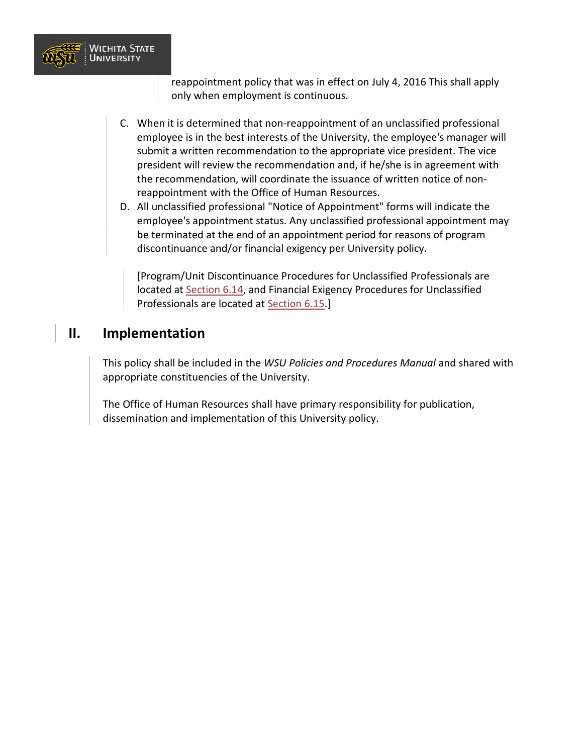

reappointment policy that was in effect on July 4, 2016 This shall apply only when employment is continuous.

- C. When it is determined that non-reappointment of an unclassified professional employee is in the best interests of the University, the employee's manager will submit a written recommendation to the appropriate vice president. The vice president will review the recommendation and, if he/she is in agreement with the recommendation, will coordinate the issuance of written notice of nonreappointment with the Office of Human Resources.
- D. All unclassified professional "Notice of Appointment" forms will indicate the employee's appointment status. Any unclassified professional appointment may be terminated at the end of an appointment period for reasons of program discontinuance and/or financial exigency per University policy.

[Program/Unit Discontinuance Procedures for Unclassified Professionals are located at [Section 6.14,](https://www.wichita.edu/about/policy/ch_06/ch6_14.php) and Financial Exigency Procedures for Unclassified Professionals are located at [Section 6.15.](https://www.wichita.edu/about/policy/ch_06/ch6_15.php)]

### **II. Implementation**

This policy shall be included in the *WSU Policies and Procedures Manual* and shared with appropriate constituencies of the University.

The Office of Human Resources shall have primary responsibility for publication, dissemination and implementation of this University policy.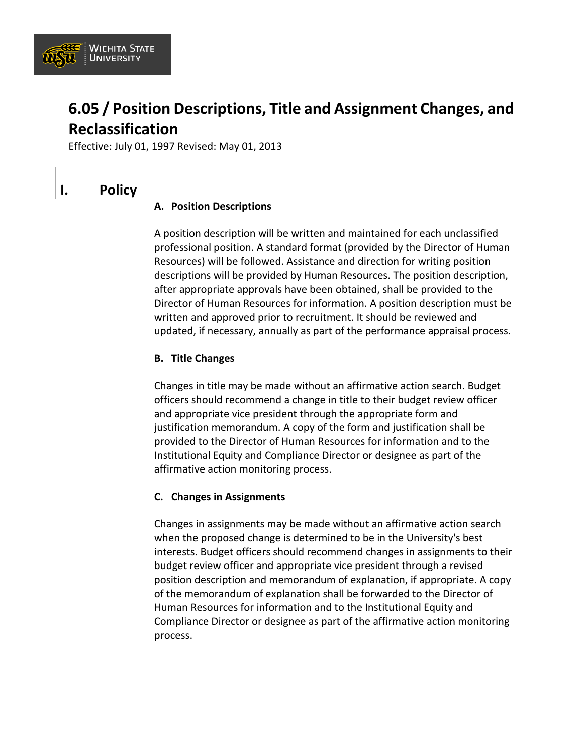

# **6.05 / Position Descriptions, Title and Assignment Changes, and Reclassification**

Effective: July 01, 1997 Revised: May 01, 2013

### **I. Policy**

#### **A. Position Descriptions**

A position description will be written and maintained for each unclassified professional position. A standard format (provided by the Director of Human Resources) will be followed. Assistance and direction for writing position descriptions will be provided by Human Resources. The position description, after appropriate approvals have been obtained, shall be provided to the Director of Human Resources for information. A position description must be written and approved prior to recruitment. It should be reviewed and updated, if necessary, annually as part of the performance appraisal process.

#### **B. Title Changes**

Changes in title may be made without an affirmative action search. Budget officers should recommend a change in title to their budget review officer and appropriate vice president through the appropriate form and justification memorandum. A copy of the form and justification shall be provided to the Director of Human Resources for information and to the Institutional Equity and Compliance Director or designee as part of the affirmative action monitoring process.

#### **C. Changes in Assignments**

Changes in assignments may be made without an affirmative action search when the proposed change is determined to be in the University's best interests. Budget officers should recommend changes in assignments to their budget review officer and appropriate vice president through a revised position description and memorandum of explanation, if appropriate. A copy of the memorandum of explanation shall be forwarded to the Director of Human Resources for information and to the Institutional Equity and Compliance Director or designee as part of the affirmative action monitoring process.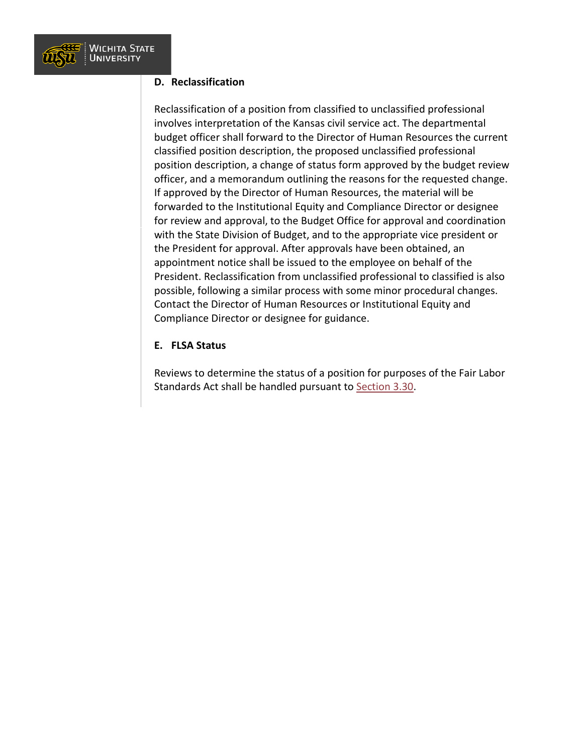

#### **D. Reclassification**

Reclassification of a position from classified to unclassified professional involves interpretation of the Kansas civil service act. The departmental budget officer shall forward to the Director of Human Resources the current classified position description, the proposed unclassified professional position description, a change of status form approved by the budget review officer, and a memorandum outlining the reasons for the requested change. If approved by the Director of Human Resources, the material will be forwarded to the Institutional Equity and Compliance Director or designee for review and approval, to the Budget Office for approval and coordination with the State Division of Budget, and to the appropriate vice president or the President for approval. After approvals have been obtained, an appointment notice shall be issued to the employee on behalf of the President. Reclassification from unclassified professional to classified is also possible, following a similar process with some minor procedural changes. Contact the Director of Human Resources or Institutional Equity and Compliance Director or designee for guidance.

#### **E. FLSA Status**

Reviews to determine the status of a position for purposes of the Fair Labor Standards Act shall be handled pursuant to [Section 3.30.](https://www.wichita.edu/about/policy/ch_03/ch3_30.php)